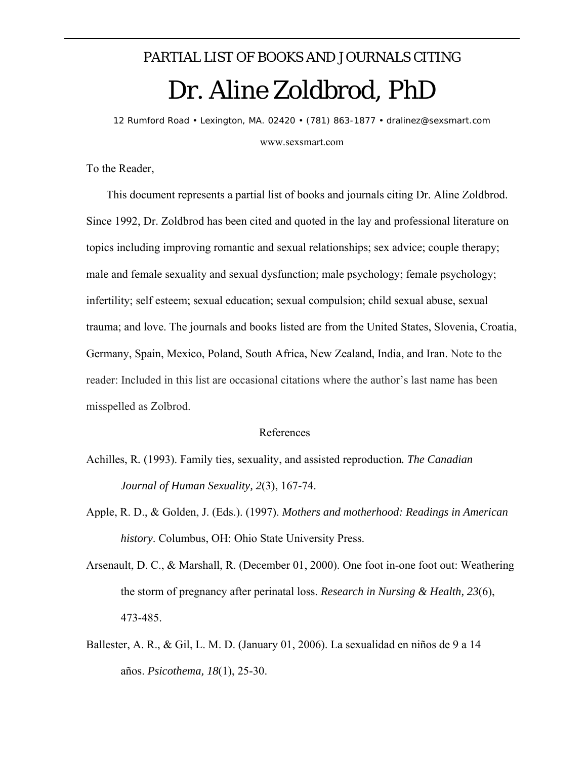## PARTIAL LIST OF BOOKS AND JOURNALS CITING Dr. Aline Zoldbrod, PhD

*12 Rumford Road • Lexington, MA. 02420 • (781) 863-1877 • dralinez@sexsmart.com* 

www.sexsmart.com

To the Reader,

 This document represents a partial list of books and journals citing Dr. Aline Zoldbrod. Since 1992, Dr. Zoldbrod has been cited and quoted in the lay and professional literature on topics including improving romantic and sexual relationships; sex advice; couple therapy; male and female sexuality and sexual dysfunction; male psychology; female psychology; infertility; self esteem; sexual education; sexual compulsion; child sexual abuse, sexual trauma; and love. The journals and books listed are from the United States, Slovenia, Croatia, Germany, Spain, Mexico, Poland, South Africa, New Zealand, India, and Iran. Note to the reader: Included in this list are occasional citations where the author's last name has been misspelled as Zolbrod.

## References

- Achilles, R*.* (1993). Family ties*,* sexuality, and assisted reproduction*. The Canadian Journal of Human Sexuality, 2*(3), 167-74.
- Apple, R. D., & Golden, J. (Eds.). (1997). *Mothers and motherhood: Readings in American history*. Columbus, OH: Ohio State University Press.
- Arsenault, D. C., & Marshall, R. (December 01, 2000). One foot in-one foot out: Weathering the storm of pregnancy after perinatal loss. *Research in Nursing & Health, 23*(6), 473-485.
- Ballester, A. R., & Gil, L. M. D. (January 01, 2006). La sexualidad en niños de 9 a 14 años. *Psicothema, 18*(1), 25-30.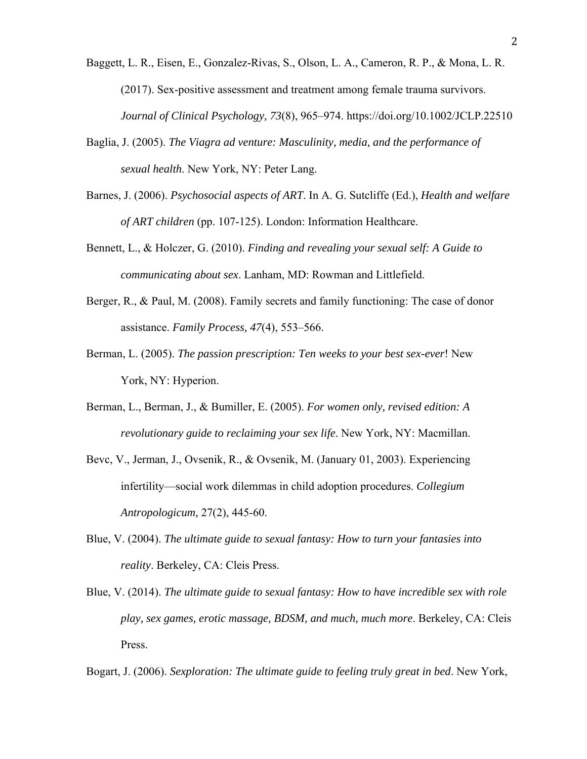- Baggett, L. R., Eisen, E., Gonzalez-Rivas, S., Olson, L. A., Cameron, R. P., & Mona, L. R. (2017). Sex-positive assessment and treatment among female trauma survivors. *Journal of Clinical Psychology, 73*(8), 965–974. https://doi.org/10.1002/JCLP.22510
- Baglia, J. (2005). *The Viagra ad venture: Masculinity, media, and the performance of sexual health*. New York, NY: Peter Lang.
- Barnes, J. (2006). *Psychosocial aspects of ART*. In A. G. Sutcliffe (Ed.), *Health and welfare of ART children* (pp. 107-125). London: Information Healthcare.
- Bennett, L., & Holczer, G. (2010). *Finding and revealing your sexual self: A Guide to communicating about sex*. Lanham, MD: Rowman and Littlefield.
- Berger, R., & Paul, M. (2008). Family secrets and family functioning: The case of donor assistance. *Family Process, 47*(4), 553–566.
- Berman, L. (2005). *The passion prescription: Ten weeks to your best sex-ever*! New York, NY: Hyperion.
- Berman, L., Berman, J., & Bumiller, E. (2005). *For women only, revised edition: A revolutionary guide to reclaiming your sex life*. New York, NY: Macmillan.
- Bevc, V., Jerman, J., Ovsenik, R., & Ovsenik, M. (January 01, 2003). Experiencing infertility—social work dilemmas in child adoption procedures. *Collegium Antropologicum,* 27(2), 445-60.
- Blue, V. (2004). *The ultimate guide to sexual fantasy: How to turn your fantasies into reality*. Berkeley, CA: Cleis Press.
- Blue, V. (2014). *The ultimate guide to sexual fantasy: How to have incredible sex with role play, sex games, erotic massage, BDSM, and much, much more*. Berkeley, CA: Cleis Press.

Bogart, J. (2006). *Sexploration: The ultimate guide to feeling truly great in bed*. New York,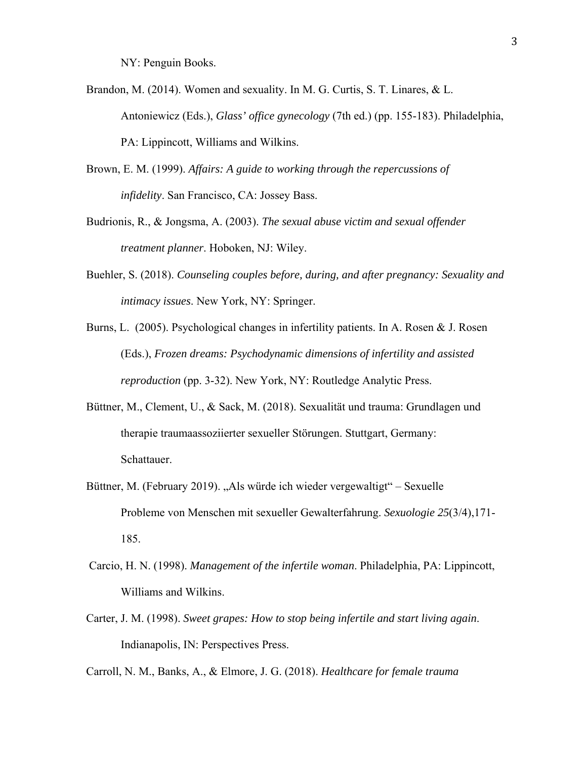NY: Penguin Books.

- Brandon, M. (2014). Women and sexuality. In M. G. Curtis, S. T. Linares, & L. Antoniewicz (Eds.), *Glass' office gynecology* (7th ed.) (pp. 155-183). Philadelphia, PA: Lippincott, Williams and Wilkins.
- Brown, E. M. (1999). *Affairs: A guide to working through the repercussions of infidelity*. San Francisco, CA: Jossey Bass.
- Budrionis, R., & Jongsma, A. (2003). *The sexual abuse victim and sexual offender treatment planner*. Hoboken, NJ: Wiley.
- Buehler, S. (2018). *Counseling couples before, during, and after pregnancy: Sexuality and intimacy issues*. New York, NY: Springer.
- Burns, L. (2005). Psychological changes in infertility patients. In A. Rosen & J. Rosen (Eds.), *Frozen dreams: Psychodynamic dimensions of infertility and assisted reproduction* (pp. 3-32). New York, NY: Routledge Analytic Press.
- Büttner, M., Clement, U., & Sack, M. (2018). Sexualität und trauma: Grundlagen und therapie traumaassoziierter sexueller Störungen. Stuttgart, Germany: Schattauer.
- Büttner, M. (February 2019). "Als würde ich wieder vergewaltigt" Sexuelle Probleme von Menschen mit sexueller Gewalterfahrung. *Sexuologie 25*(3/4),171- 185.
- Carcio, H. N. (1998). *Management of the infertile woman*. Philadelphia, PA: Lippincott, Williams and Wilkins.
- Carter, J. M. (1998). *Sweet grapes: How to stop being infertile and start living again*. Indianapolis, IN: Perspectives Press.

Carroll, N. M., Banks, A., & Elmore, J. G. (2018). *Healthcare for female trauma*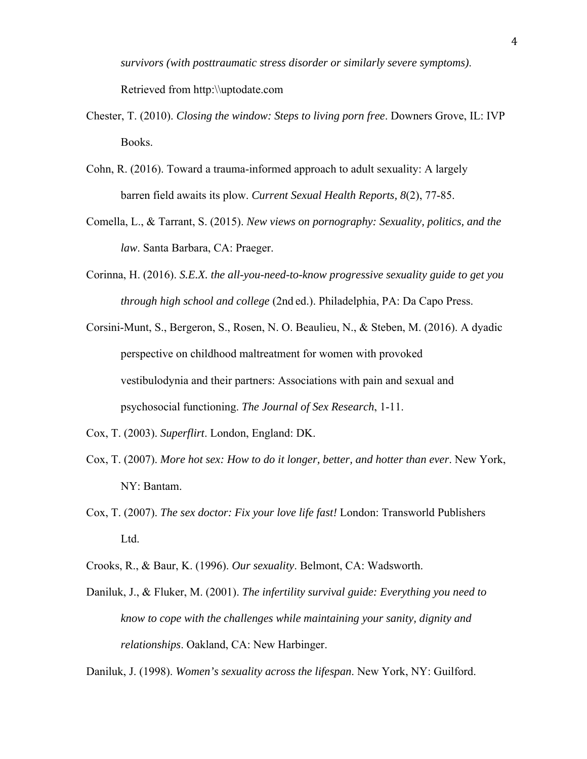*survivors (with posttraumatic stress disorder or similarly severe symptoms)*. Retrieved from http:\\uptodate.com

- Chester, T. (2010). *Closing the window: Steps to living porn free*. Downers Grove, IL: IVP Books.
- Cohn, R. (2016). Toward a trauma-informed approach to adult sexuality: A largely barren field awaits its plow. *Current Sexual Health Reports, 8*(2), 77-85.
- Comella, L., & Tarrant, S. (2015). *New views on pornography: Sexuality, politics, and the law*. Santa Barbara, CA: Praeger.
- Corinna, H. (2016). *S.E.X. the all-you-need-to-know progressive sexuality guide to get you through high school and college* (2nd ed.). Philadelphia, PA: Da Capo Press.
- Corsini-Munt, S., Bergeron, S., Rosen, N. O. Beaulieu, N., & Steben, M. (2016). A dyadic perspective on childhood maltreatment for women with provoked vestibulodynia and their partners: Associations with pain and sexual and psychosocial functioning. *The Journal of Sex Research*, 1-11.
- Cox, T. (2003). *Superflirt*. London, England: DK.
- Cox, T. (2007). *More hot sex: How to do it longer, better, and hotter than ever*. New York, NY: Bantam.
- Cox, T. (2007). *The sex doctor: Fix your love life fast!* London: Transworld Publishers Ltd.
- Crooks, R., & Baur, K. (1996). *Our sexuality*. Belmont, CA: Wadsworth.
- Daniluk, J., & Fluker, M. (2001). *The infertility survival guide: Everything you need to know to cope with the challenges while maintaining your sanity, dignity and relationships*. Oakland, CA: New Harbinger.

Daniluk, J. (1998). *Women's sexuality across the lifespan*. New York, NY: Guilford.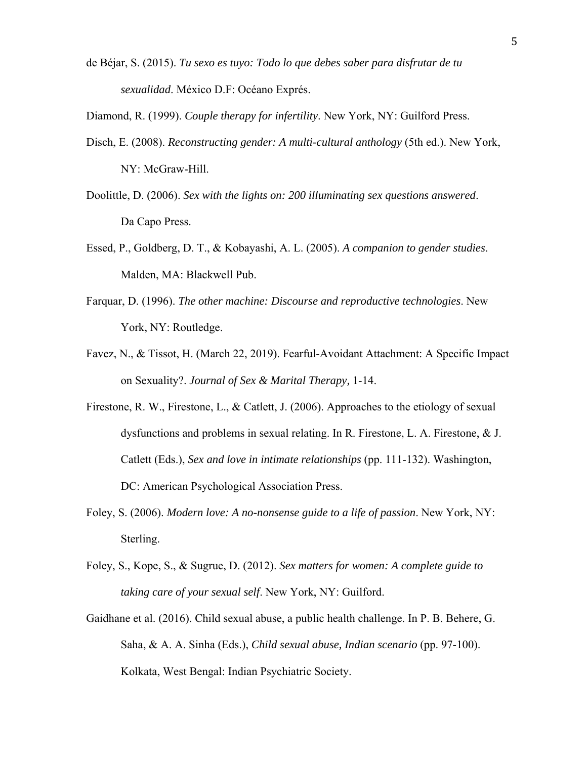de Béjar, S. (2015). *Tu sexo es tuyo: Todo lo que debes saber para disfrutar de tu sexualidad*. México D.F: Océano Exprés.

Diamond, R. (1999). *Couple therapy for infertility*. New York, NY: Guilford Press.

- Disch, E. (2008). *Reconstructing gender: A multi-cultural anthology* (5th ed.). New York, NY: McGraw-Hill.
- Doolittle, D. (2006). *Sex with the lights on: 200 illuminating sex questions answered*. Da Capo Press.
- Essed, P., Goldberg, D. T., & Kobayashi, A. L. (2005). *A companion to gender studies*. Malden, MA: Blackwell Pub.
- Farquar, D. (1996). *The other machine: Discourse and reproductive technologies*. New York, NY: Routledge.
- Favez, N., & Tissot, H. (March 22, 2019). Fearful-Avoidant Attachment: A Specific Impact on Sexuality?. *Journal of Sex & Marital Therapy,* 1-14.
- Firestone, R. W., Firestone, L., & Catlett, J. (2006). Approaches to the etiology of sexual dysfunctions and problems in sexual relating. In R. Firestone, L. A. Firestone, & J. Catlett (Eds.), *Sex and love in intimate relationships* (pp. 111-132). Washington, DC: American Psychological Association Press.
- Foley, S. (2006). *Modern love: A no-nonsense guide to a life of passion*. New York, NY: Sterling.
- Foley, S., Kope, S., & Sugrue, D. (2012). *Sex matters for women: A complete guide to taking care of your sexual self*. New York, NY: Guilford.
- Gaidhane et al. (2016). Child sexual abuse, a public health challenge. In P. B. Behere, G. Saha, & A. A. Sinha (Eds.), *Child sexual abuse, Indian scenario* (pp. 97-100). Kolkata, West Bengal: Indian Psychiatric Society.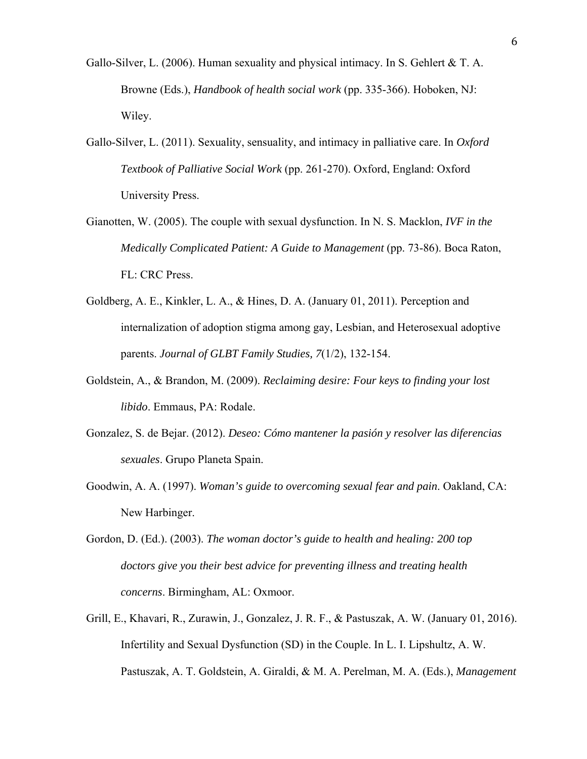- Gallo-Silver, L. (2006). Human sexuality and physical intimacy. In S. Gehlert & T. A. Browne (Eds.), *Handbook of health social work* (pp. 335-366). Hoboken, NJ: Wiley.
- Gallo-Silver, L. (2011). Sexuality, sensuality, and intimacy in palliative care. In *Oxford Textbook of Palliative Social Work* (pp. 261-270). Oxford, England: Oxford University Press.
- Gianotten, W. (2005). The couple with sexual dysfunction. In N. S. Macklon, *IVF in the Medically Complicated Patient: A Guide to Management* (pp. 73-86). Boca Raton, FL: CRC Press.
- Goldberg, A. E., Kinkler, L. A., & Hines, D. A. (January 01, 2011). Perception and internalization of adoption stigma among gay, Lesbian, and Heterosexual adoptive parents. *Journal of GLBT Family Studies, 7*(1/2), 132-154.
- Goldstein, A., & Brandon, M. (2009). *Reclaiming desire: Four keys to finding your lost libido*. Emmaus, PA: Rodale.
- Gonzalez, S. de Bejar. (2012). *Deseo: Cómo mantener la pasión y resolver las diferencias sexuales*. Grupo Planeta Spain.
- Goodwin, A. A. (1997). *Woman's guide to overcoming sexual fear and pain*. Oakland, CA: New Harbinger.
- Gordon, D. (Ed.). (2003). *The woman doctor's guide to health and healing: 200 top doctors give you their best advice for preventing illness and treating health concerns*. Birmingham, AL: Oxmoor.
- Grill, E., Khavari, R., Zurawin, J., Gonzalez, J. R. F., & Pastuszak, A. W. (January 01, 2016). Infertility and Sexual Dysfunction (SD) in the Couple. In L. I. Lipshultz, A. W. Pastuszak, A. T. Goldstein, A. Giraldi, & M. A. Perelman, M. A. (Eds.), *Management*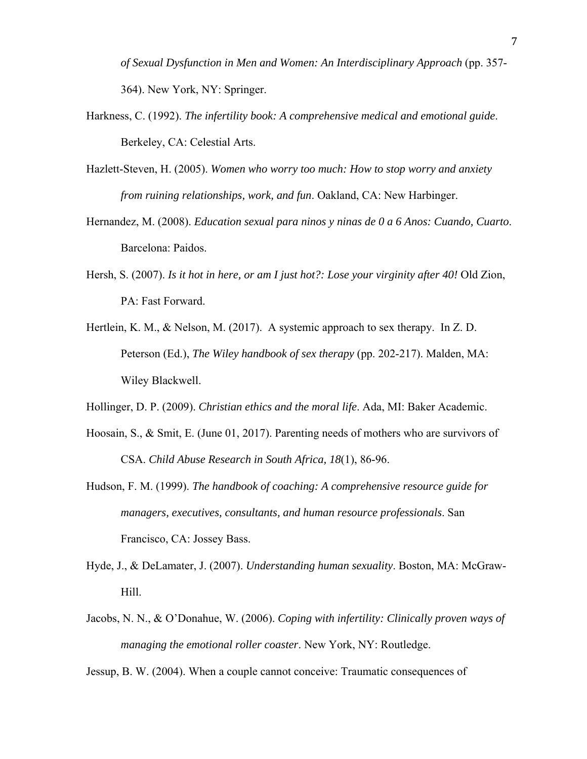*of Sexual Dysfunction in Men and Women: An Interdisciplinary Approach* (pp. 357- 364). New York, NY: Springer.

- Harkness, C. (1992). *The infertility book: A comprehensive medical and emotional guide*. Berkeley, CA: Celestial Arts.
- Hazlett-Steven, H. (2005). *Women who worry too much: How to stop worry and anxiety from ruining relationships, work, and fun*. Oakland, CA: New Harbinger.
- Hernandez, M. (2008). *Education sexual para ninos y ninas de 0 a 6 Anos: Cuando, Cuarto*. Barcelona: Paidos.
- Hersh, S. (2007). *Is it hot in here, or am I just hot?: Lose your virginity after 40!* Old Zion, PA: Fast Forward.
- Hertlein, K. M., & Nelson, M. (2017). A systemic approach to sex therapy. In Z. D. Peterson (Ed.), *The Wiley handbook of sex therapy* (pp. 202-217). Malden, MA: Wiley Blackwell.
- Hollinger, D. P. (2009). *Christian ethics and the moral life*. Ada, MI: Baker Academic.
- Hoosain, S., & Smit, E. (June 01, 2017). Parenting needs of mothers who are survivors of CSA. *Child Abuse Research in South Africa, 18*(1), 86-96.
- Hudson, F. M. (1999). *The handbook of coaching: A comprehensive resource guide for managers, executives, consultants, and human resource professionals*. San Francisco, CA: Jossey Bass.
- Hyde, J., & DeLamater, J. (2007). *Understanding human sexuality*. Boston, MA: McGraw-Hill.
- Jacobs, N. N., & O'Donahue, W. (2006). *Coping with infertility: Clinically proven ways of managing the emotional roller coaster*. New York, NY: Routledge.

Jessup, B. W. (2004). When a couple cannot conceive: Traumatic consequences of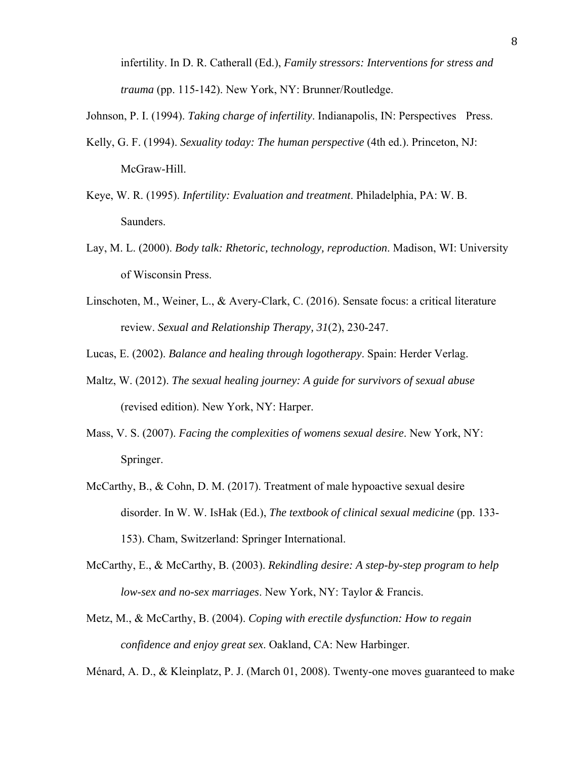infertility. In D. R. Catherall (Ed.), *Family stressors: Interventions for stress and trauma* (pp. 115-142). New York, NY: Brunner/Routledge.

- Johnson, P. I. (1994). *Taking charge of infertility*. Indianapolis, IN: Perspectives Press.
- Kelly, G. F. (1994). *Sexuality today: The human perspective* (4th ed.). Princeton, NJ: McGraw-Hill.
- Keye, W. R. (1995). *Infertility: Evaluation and treatment*. Philadelphia, PA: W. B. Saunders.
- Lay, M. L. (2000). *Body talk: Rhetoric, technology, reproduction*. Madison, WI: University of Wisconsin Press.
- Linschoten, M., Weiner, L., & Avery-Clark, C. (2016). Sensate focus: a critical literature review. *Sexual and Relationship Therapy, 31*(2), 230-247.
- Lucas, E. (2002). *Balance and healing through logotherapy*. Spain: Herder Verlag.
- Maltz, W. (2012). *The sexual healing journey: A guide for survivors of sexual abuse* (revised edition). New York, NY: Harper.
- Mass, V. S. (2007). *Facing the complexities of womens sexual desire*. New York, NY: Springer.
- McCarthy, B., & Cohn, D. M. (2017). Treatment of male hypoactive sexual desire disorder. In W. W. IsHak (Ed.), *The textbook of clinical sexual medicine* (pp. 133- 153). Cham, Switzerland: Springer International.
- McCarthy, E., & McCarthy, B. (2003). *Rekindling desire: A step-by-step program to help low-sex and no-sex marriages*. New York, NY: Taylor & Francis.
- Metz, M., & McCarthy, B. (2004). *Coping with erectile dysfunction: How to regain confidence and enjoy great sex*. Oakland, CA: New Harbinger.

Ménard, A. D., & Kleinplatz, P. J. (March 01, 2008). Twenty-one moves guaranteed to make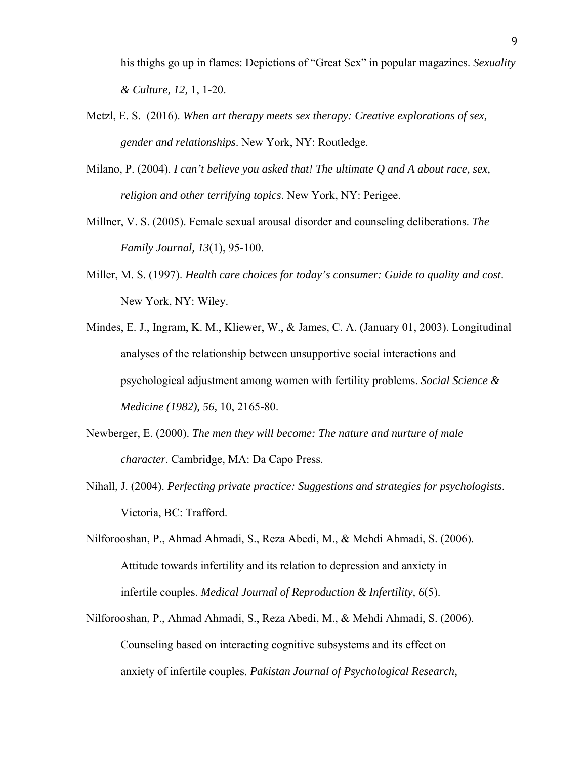his thighs go up in flames: Depictions of "Great Sex" in popular magazines. *Sexuality & Culture, 12,* 1, 1-20.

- Metzl, E. S. (2016). *When art therapy meets sex therapy: Creative explorations of sex, gender and relationships*. New York, NY: Routledge.
- Milano, P. (2004). *I can't believe you asked that! The ultimate Q and A about race, sex, religion and other terrifying topics*. New York, NY: Perigee.
- Millner, V. S. (2005). Female sexual arousal disorder and counseling deliberations. *The Family Journal, 13*(1), 95-100.
- Miller, M. S. (1997). *Health care choices for today's consumer: Guide to quality and cost*. New York, NY: Wiley.
- Mindes, E. J., Ingram, K. M., Kliewer, W., & James, C. A. (January 01, 2003). Longitudinal analyses of the relationship between unsupportive social interactions and psychological adjustment among women with fertility problems. *Social Science & Medicine (1982), 56,* 10, 2165-80.
- Newberger, E. (2000). *The men they will become: The nature and nurture of male character*. Cambridge, MA: Da Capo Press.
- Nihall, J. (2004). *Perfecting private practice: Suggestions and strategies for psychologists*. Victoria, BC: Trafford.
- Nilforooshan, P., Ahmad Ahmadi, S., Reza Abedi, M., & Mehdi Ahmadi, S. (2006). Attitude towards infertility and its relation to depression and anxiety in infertile couples. *Medical Journal of Reproduction & Infertility, 6*(5).
- Nilforooshan, P., Ahmad Ahmadi, S., Reza Abedi, M., & Mehdi Ahmadi, S. (2006). Counseling based on interacting cognitive subsystems and its effect on anxiety of infertile couples. *Pakistan Journal of Psychological Research,*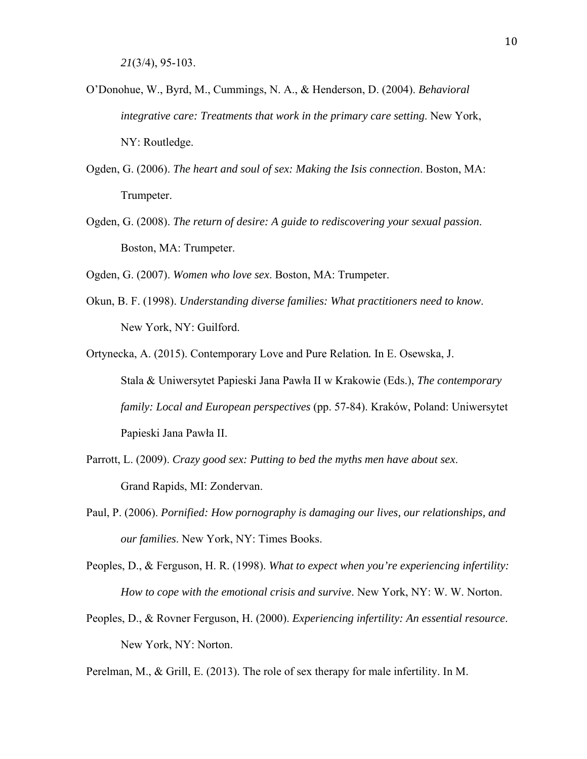- O'Donohue, W., Byrd, M., Cummings, N. A., & Henderson, D. (2004). *Behavioral integrative care: Treatments that work in the primary care setting*. New York, NY: Routledge.
- Ogden, G. (2006). *The heart and soul of sex: Making the Isis connection*. Boston, MA: Trumpeter.
- Ogden, G. (2008). *The return of desire: A guide to rediscovering your sexual passion*. Boston, MA: Trumpeter.

Ogden, G. (2007). *Women who love sex*. Boston, MA: Trumpeter.

- Okun, B. F. (1998). *Understanding diverse families: What practitioners need to know*. New York, NY: Guilford.
- Ortynecka, A. (2015). Contemporary Love and Pure Relation*.* In E. Osewska, J. Stala & Uniwersytet Papieski Jana Pawła II w Krakowie (Eds.), *The contemporary family: Local and European perspectives* (pp. 57-84). Kraków, Poland: Uniwersytet Papieski Jana Pawła II.
- Parrott, L. (2009). *Crazy good sex: Putting to bed the myths men have about sex*. Grand Rapids, MI: Zondervan.
- Paul, P. (2006). *Pornified: How pornography is damaging our lives, our relationships, and our families*. New York, NY: Times Books.
- Peoples, D., & Ferguson, H. R. (1998). *What to expect when you're experiencing infertility: How to cope with the emotional crisis and survive*. New York, NY: W. W. Norton.
- Peoples, D., & Rovner Ferguson, H. (2000). *Experiencing infertility: An essential resource*. New York, NY: Norton.

Perelman, M., & Grill, E. (2013). The role of sex therapy for male infertility. In M.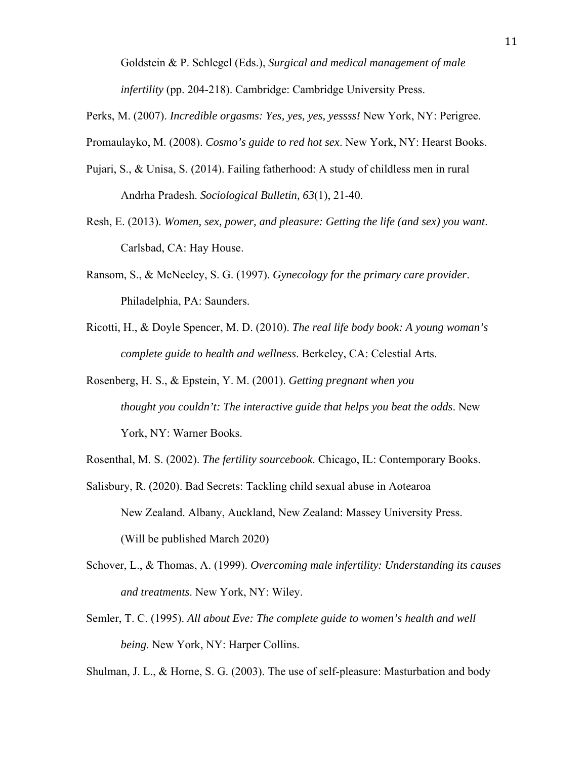Goldstein & P. Schlegel (Eds.), *Surgical and medical management of male infertility* (pp. 204-218). Cambridge: Cambridge University Press.

Perks, M. (2007). *Incredible orgasms: Yes, yes, yes, yessss!* New York, NY: Perigree.

Promaulayko, M. (2008). *Cosmo's guide to red hot sex*. New York, NY: Hearst Books.

- Pujari, S., & Unisa, S. (2014). Failing fatherhood: A study of childless men in rural Andrha Pradesh. *Sociological Bulletin, 63*(1), 21-40.
- Resh, E. (2013). *Women, sex, power, and pleasure: Getting the life (and sex) you want*. Carlsbad, CA: Hay House.
- Ransom, S., & McNeeley, S. G. (1997). *Gynecology for the primary care provider*. Philadelphia, PA: Saunders.
- Ricotti, H., & Doyle Spencer, M. D. (2010). *The real life body book: A young woman's complete guide to health and wellness*. Berkeley, CA: Celestial Arts.
- Rosenberg, H. S., & Epstein, Y. M. (2001). *Getting pregnant when you thought you couldn't: The interactive guide that helps you beat the odds*. New York, NY: Warner Books.

Rosenthal, M. S. (2002). *The fertility sourcebook*. Chicago, IL: Contemporary Books.

- Salisbury, R. (2020). Bad Secrets: Tackling child sexual abuse in Aotearoa New Zealand. Albany, Auckland, New Zealand: Massey University Press. (Will be published March 2020)
- Schover, L., & Thomas, A. (1999). *Overcoming male infertility: Understanding its causes and treatments*. New York, NY: Wiley.
- Semler, T. C. (1995). *All about Eve: The complete guide to women's health and well being*. New York, NY: Harper Collins.

Shulman, J. L., & Horne, S. G. (2003). The use of self-pleasure: Masturbation and body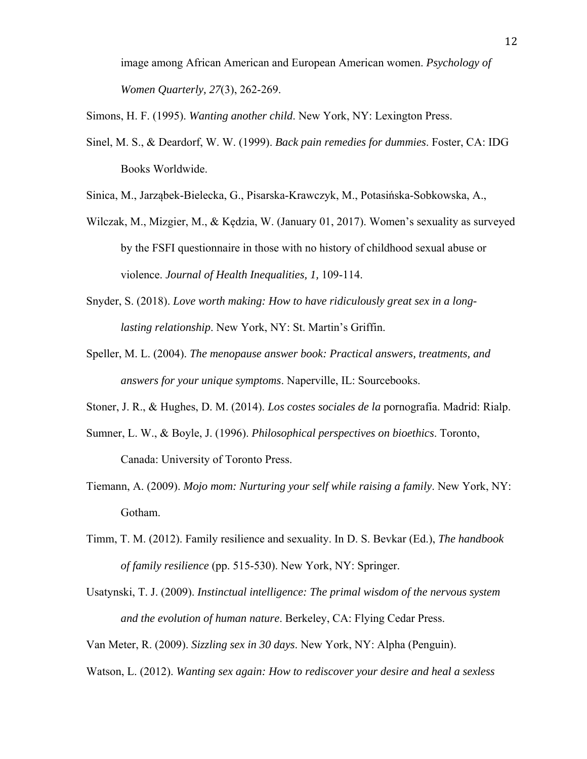image among African American and European American women. *Psychology of Women Quarterly, 27*(3), 262-269.

Simons, H. F. (1995). *Wanting another child*. New York, NY: Lexington Press.

Sinel, M. S., & Deardorf, W. W. (1999). *Back pain remedies for dummies*. Foster, CA: IDG Books Worldwide.

Sinica, M., Jarząbek-Bielecka, G., Pisarska-Krawczyk, M., Potasińska-Sobkowska, A.,

- Wilczak, M., Mizgier, M., & Kędzia, W. (January 01, 2017). Women's sexuality as surveyed by the FSFI questionnaire in those with no history of childhood sexual abuse or violence. *Journal of Health Inequalities, 1,* 109-114.
- Snyder, S. (2018). *Love worth making: How to have ridiculously great sex in a longlasting relationship*. New York, NY: St. Martin's Griffin.
- Speller, M. L. (2004). *The menopause answer book: Practical answers, treatments, and answers for your unique symptoms*. Naperville, IL: Sourcebooks.
- Stoner, J. R., & Hughes, D. M. (2014). *Los costes sociales de la* pornografía. Madrid: Rialp.
- Sumner, L. W., & Boyle, J. (1996). *Philosophical perspectives on bioethics*. Toronto, Canada: University of Toronto Press.
- Tiemann, A. (2009). *Mojo mom: Nurturing your self while raising a family*. New York, NY: Gotham.
- Timm, T. M. (2012). Family resilience and sexuality. In D. S. Bevkar (Ed.), *The handbook of family resilience* (pp. 515-530). New York, NY: Springer.
- Usatynski, T. J. (2009). *Instinctual intelligence: The primal wisdom of the nervous system and the evolution of human nature*. Berkeley, CA: Flying Cedar Press.

Van Meter, R. (2009). *Sizzling sex in 30 days*. New York, NY: Alpha (Penguin).

Watson, L. (2012). *Wanting sex again: How to rediscover your desire and heal a sexless*